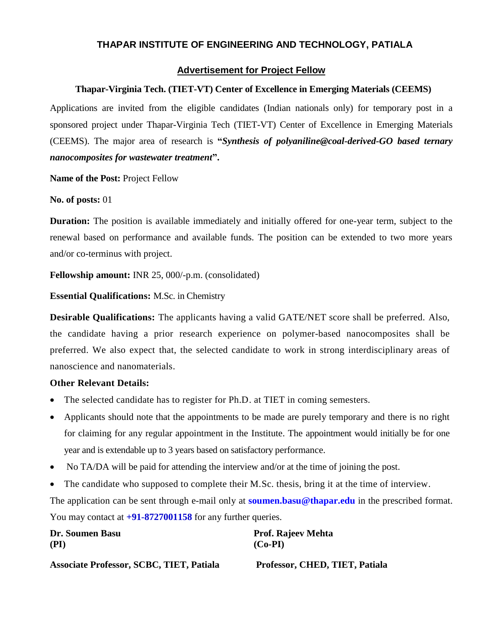# **THAPAR INSTITUTE OF ENGINEERING AND TECHNOLOGY, PATIALA**

#### **Advertisement for Project Fellow**

### **Thapar-Virginia Tech. (TIET-VT) Center of Excellence in Emerging Materials (CEEMS)**

Applications are invited from the eligible candidates (Indian nationals only) for temporary post in a sponsored project under Thapar-Virginia Tech (TIET-VT) Center of Excellence in Emerging Materials (CEEMS). The major area of research is **"***Synthesis of polyaniline@coal-derived-GO based ternary nanocomposites for wastewater treatment***".**

**Name of the Post:** Project Fellow

**No. of posts:** 01

**Duration:** The position is available immediately and initially offered for one-year term, subject to the renewal based on performance and available funds. The position can be extended to two more years and/or co-terminus with project.

**Fellowship amount:** INR 25, 000/-p.m. (consolidated)

**Essential Qualifications:** M.Sc. in Chemistry

**Desirable Qualifications:** The applicants having a valid GATE/NET score shall be preferred. Also, the candidate having a prior research experience on polymer-based nanocomposites shall be preferred. We also expect that, the selected candidate to work in strong interdisciplinary areas of nanoscience and nanomaterials.

## **Other Relevant Details:**

- The selected candidate has to register for Ph.D. at TIET in coming semesters.
- Applicants should note that the appointments to be made are purely temporary and there is no right for claiming for any regular appointment in the Institute. The appointment would initially be for one year and is extendable up to 3 years based on satisfactory performance.
- No TA/DA will be paid for attending the interview and/or at the time of joining the post.
- The candidate who supposed to complete their M.Sc. thesis, bring it at the time of interview.

The application can be sent through e-mail only at **soumen.basu@thapar.edu** in the prescribed format. You may contact at **+91-8727001158** for any further queries.

| Dr. Soumen Basu                                 | <b>Prof. Rajeev Mehta</b>      |
|-------------------------------------------------|--------------------------------|
| (PI)                                            | $(Co-PI)$                      |
| <b>Associate Professor, SCBC, TIET, Patiala</b> | Professor, CHED, TIET, Patiala |